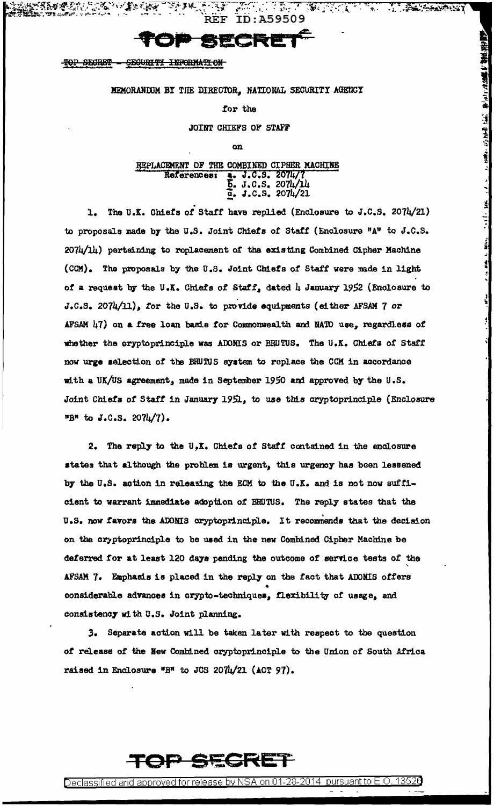ID:A59509

**TANG PERSONAL** 

**A PACCAMPUT** 

**新闻的新闻的 在前的第三人称单数 "我们在我们的人" 化苯甲酸** 

 $\frac{1}{2}$ 

 $\label{eq:4} \mathcal{L} = -\mathcal{H} \frac{d\mathbf{r}}{d\mathbf{r}} - \mathcal{L} = -\frac{\mathbf{I}(\mathbf{r})}{2} \mathbf{r} \cdot \mathbf{r},$ 

र के द

### **D SECRE**

**SEGURITY INFORMATION** TOP SECRET

MEMORANDUM BY THE DIRECTOR, NATIONAL SECURITY AGENCY

for the

### JOINT CHIEFS OF STAFF

on

### REPLACEMENT OF THE COMBINED CIPHER MACHINE J.C.S. 2074/7 References:  $\frac{5}{2}$ . J.C.S. 2074/14

1. The U.K. Chiefs of Staff have replied (Enclosure to J.C.S. 2074/21) to proposals made by the U.S. Joint Chiefs of Staff (Enclosure "A" to J.C.S. 2074/14) pertaining to replacement of the existing Combined Cipher Machine (CCM). The proposals by the U.S. Joint Chiefs of Staff were made in light of a request by the U.K. Chiefs of Staff, dated 4 January 1952 (Enclosure to J.C.S. 2074/11), for the U.S. to provide equipments (either AFSAM 7 or AFSAM 47) on a free loan basis for Commonwealth and NATO use, regardless of whether the cryptoprinciple was ADOMIS or BRUTUS. The U.K. Chiefs of Staff now urge selection of the BRUTUS system to replace the CCM in accordance with a UK/US agreement, made in September 1950 and approved by the U.S. Joint Chiefs of Staff in January 1951, to use this oryptoprinciple (Enclosure "B" to J.C.S. 2074/7).

2. The reply to the U.K. Chiefs of Staff contained in the enclosure states that although the problem is urgent, this urgency has been lessened by the U.S. action in releasing the ECM to the U.K. and is not now sufficient to warrant immediate adoption of BRUTUS. The reply states that the U.S. now favors the ADOMIS oryptoprinciple. It recommends that the decision on the cryptoprinciple to be used in the new Combined Cipher Machine be deferred for at least 120 days pending the outcome of service tests of the AFSAM 7. Emphasis is placed in the reply on the fact that ADONIS offers considerable advances in crypto-techniques, flexibility of usage, and consistency with U.S. Joint planning.

3. Separate action will be taken later with respect to the question of release of the New Combined cryptoprinciple to the Union of South Africa raised in Enclosure "B" to JCS 2074/21 (ACT 97).



Declassified and approved for release by NSA on 01-28-2014 pursuant to E.O.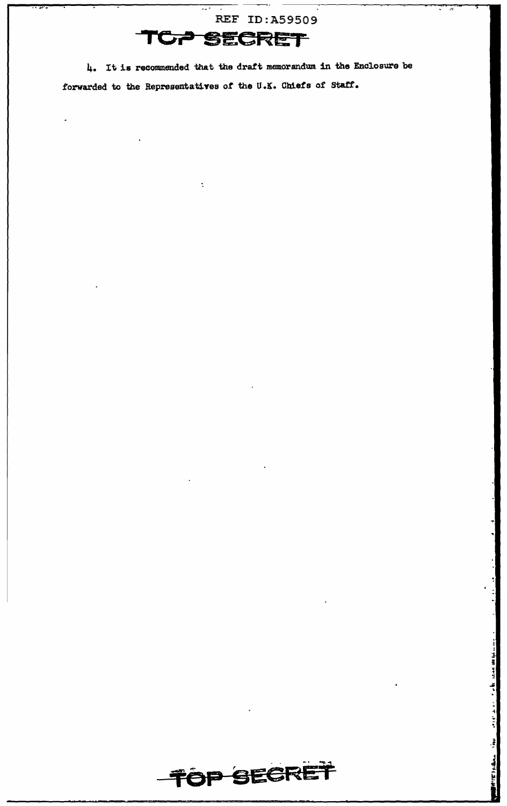REF ID:A59509 TCP SECRET

 $\ddot{\phantom{a}}$ 

4. It is recommended that the draft memorandum in the Enclosure be forwarded to the Representatives of the U.K. Chiefs of Staff.

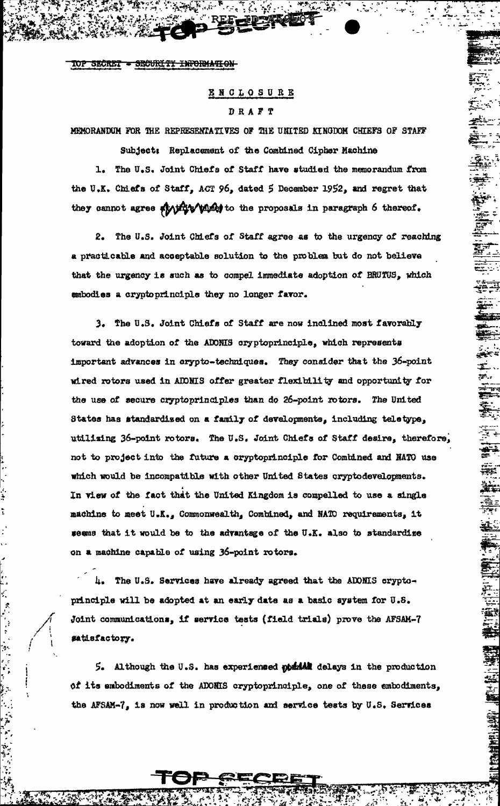SECURITY INFORMATION **SECRET** 

### ENCLOSURE DRAFT

MENORANDUM FOR THE REPRESENTATIVES OF THE UNITED KINGDOM CHIEFS OF STAFF Subject: Replacement of the Combined Cipher Machine

1. The U.S. Joint Chiefs of Staff have studied the memorandum from the U.K. Chiefs of Staff, ACT 96, dated 5 December 1952, and regret that they cannot agree which wish to the proposals in paragraph 6 thereof.

2. The U.S. Joint Chiefs of Staff agree as to the urgency of reaching a practicable and acceptable solution to the problem but do not believe that the urgency is such as to compel immediate adoption of BRUTUS, which embodies a cryptoprinciple they no longer favor.

3. The U.S. Joint Chiefs of Staff are now inclined most favorably toward the adoption of the ADONIS cryptoprinciple, which represents important advances in crypto-techniques. They consider that the 36-point wired rotors used in ADDNIS offer greater flexibility and opportunity for the use of secure cryptoprinciples than do 26-point rotors. The United States has standardized on a family of developments, including teletype, utilizing 36-point rotors. The U.S. Joint Chiefs of Staff desire, therefore, not to project into the future a cryptoprinciple for Combined and NATO use which would be incompatible with other United States cryptodevelopments. In view of the fact that the United Kingdom is compelled to use a single machine to meet U.K., Commonwealth, Combined, and NATO requirements, it seems that it would be to the advantage of the U.K. also to standardize on a machine capable of using 36-point rotors.

4. The U.S. Services have already agreed that the ADOMIS cryptoprinciple will be adopted at an early date as a basic system for U.S. Joint communications, if service tests (field trials) prove the AFSAM-7 satisfactory.

5. Although the U.S. has experienced obuild delays in the production of its embodiments of the ADONIS cryptoprinciple, one of these embodiments, the AFSAM-7, is now well in production and service tests by U.S. Services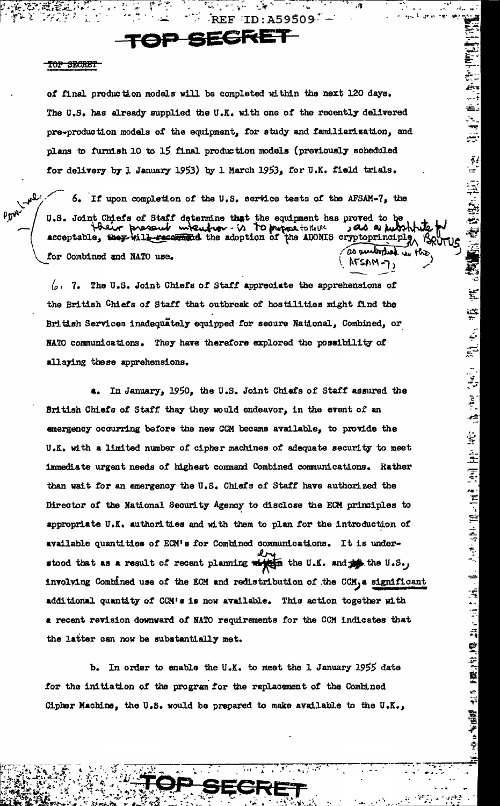## SECRET

#### TOP SECRET

Lyne

Pow

of final production models will be completed within the next 120 days. The U.S. has already supplied the U.K. with one of the recently delivered pre-production models of the equipment, for study and familiarization, and plans to furnish 10 to 15 final production models (previously scheduled for delivery by 1 January 1953) by 1 March 1953, for U.K. field trials.

 $ID: A59509 -$ 

÷,

**情報**的 権度整治 10 年度

 $\overline{\Sigma}$ 

÷

 $\ddot{\cdot}$ 

್

 $\begin{smallmatrix}&&1\\1&&1\\1&&1\end{smallmatrix}, \begin{smallmatrix}&&1\\1&&1\\1&&1\end{smallmatrix}, \begin{smallmatrix}&&1\\1&&1\\1&&1\end{smallmatrix} \end{smallmatrix}$ 

通道 医腰内部 建重叠 计可变 法行为 化二次分子 法医疗 化二氧化合物 医肝下静脉

露当学っ

¢

6. If upon completion of the U.S. service tests of the AFSAM-7, the U.S. Joint Chiefs of Staff determine that the equipment has proved to be deir present when from - is to propose to the 11 يبارده محادر acceptable, they vill received the adoption of the ADONIS cryptoprinciply, as auritoried un the for Combined and NATO use. SAM-7,

 $\sqrt{2}$ . 7. The U.S. Joint Chiefs of Staff appreciate the apprehensions of the British Chiefs of Staff that outbreak of hostilities might find the British Services inadequately equipped for secure National, Combined, or NATO communications. They have therefore explored the possibility of allaying these apprehensions.

4. In January, 1950, the U.S. Joint Chiefs of Staff assured the British Chiefs of Staff thay they would endeavor, in the event of an emergency occurring before the new CCM became available, to provide the U.K. with a limited number of cipher machines of adequate security to meet immediate urgent needs of highest command Combined communications. Rather than wait for an emergency the U.S. Chiefs of Staff have authorized the Director of the National Security Agency to disclose the ECM principles to appropriate U.K. authorities and with them to plan for the introduction of available quantities of ECM's for Combined communications. It is understood that as a result of recent planning which the U.K. and the U.S., involving Combined use of the ECM and redistribution of the CCM, a significant additional quantity of CCM's is now available. This action together with a recent revision downward of NATO requirements for the CCM indicates that the latter can now be substantially met.

b. In order to enable the U.K. to meet the 1 January 1955 date for the initiation of the program for the replacement of the Combined Gipher Machine, the U.S. would be prepared to make available to the U.K.,